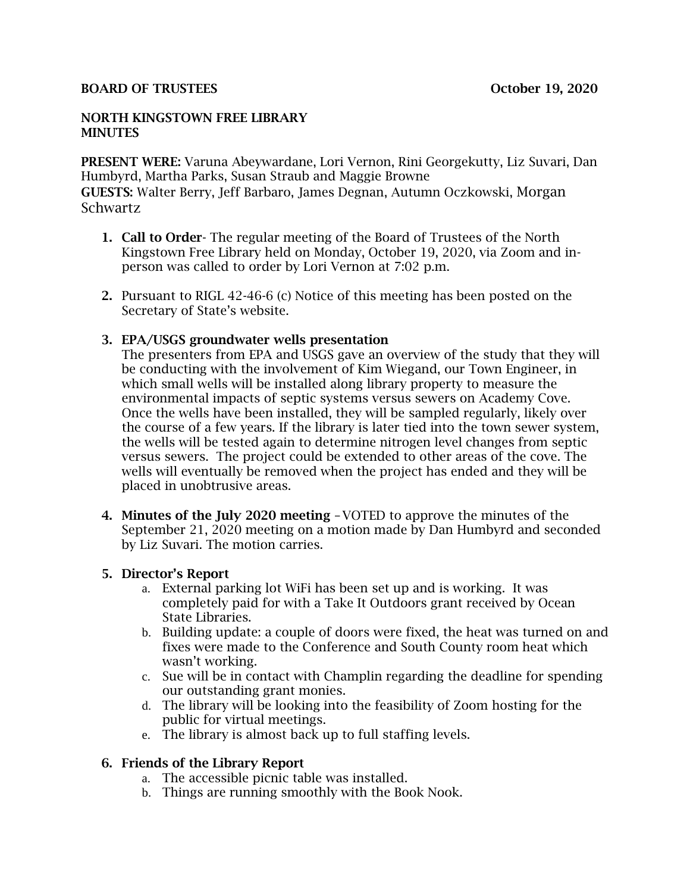#### **BOARD OF TRUSTEES CONSERVERS OCTOBER 19, 2020**

#### NORTH KINGSTOWN FREE LIBRARY **MINUTES**

PRESENT WERE: Varuna Abeywardane, Lori Vernon, Rini Georgekutty, Liz Suvari, Dan Humbyrd, Martha Parks, Susan Straub and Maggie Browne GUESTS: Walter Berry, Jeff Barbaro, James Degnan, Autumn Oczkowski, Morgan Schwartz

- 1. Call to Order- The regular meeting of the Board of Trustees of the North Kingstown Free Library held on Monday, October 19, 2020, via Zoom and inperson was called to order by Lori Vernon at 7:02 p.m.
- 2. Pursuant to RIGL 42-46-6 (c) Notice of this meeting has been posted on the Secretary of State's website.

### 3. EPA/USGS groundwater wells presentation

The presenters from EPA and USGS gave an overview of the study that they will be conducting with the involvement of Kim Wiegand, our Town Engineer, in which small wells will be installed along library property to measure the environmental impacts of septic systems versus sewers on Academy Cove. Once the wells have been installed, they will be sampled regularly, likely over the course of a few years. If the library is later tied into the town sewer system, the wells will be tested again to determine nitrogen level changes from septic versus sewers. The project could be extended to other areas of the cove. The wells will eventually be removed when the project has ended and they will be placed in unobtrusive areas.

4. Minutes of the July 2020 meeting –VOTED to approve the minutes of the September 21, 2020 meeting on a motion made by Dan Humbyrd and seconded by Liz Suvari. The motion carries.

### 5. Director's Report

- a. External parking lot WiFi has been set up and is working. It was completely paid for with a Take It Outdoors grant received by Ocean State Libraries.
- b. Building update: a couple of doors were fixed, the heat was turned on and fixes were made to the Conference and South County room heat which wasn't working.
- c. Sue will be in contact with Champlin regarding the deadline for spending our outstanding grant monies.
- d. The library will be looking into the feasibility of Zoom hosting for the public for virtual meetings.
- e. The library is almost back up to full staffing levels.

### 6. Friends of the Library Report

- a. The accessible picnic table was installed.
- b. Things are running smoothly with the Book Nook.